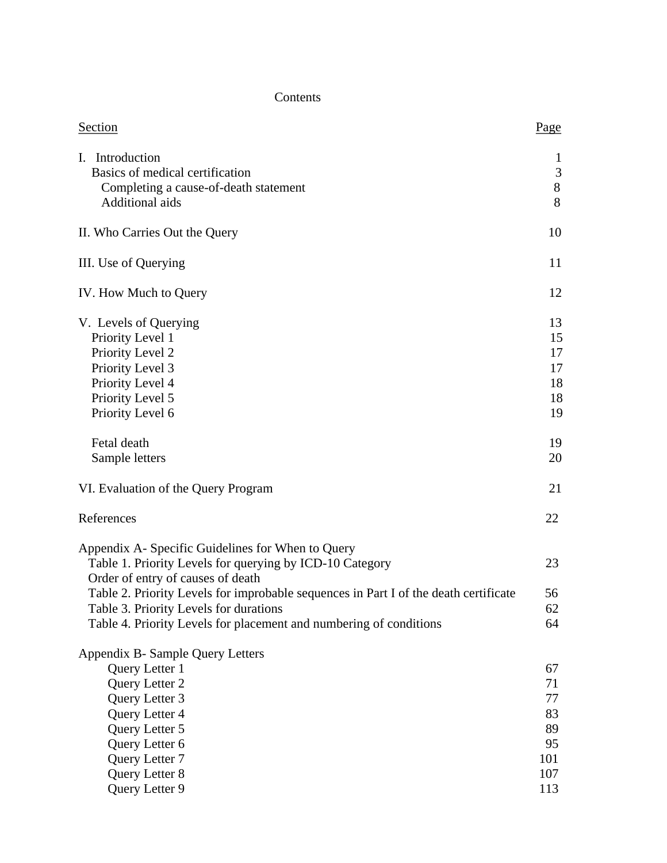## Contents

| Section                                                                                                                                                                                                                                                                                                                                                    | Page                                           |
|------------------------------------------------------------------------------------------------------------------------------------------------------------------------------------------------------------------------------------------------------------------------------------------------------------------------------------------------------------|------------------------------------------------|
| Introduction<br>Ι.<br>Basics of medical certification<br>Completing a cause-of-death statement<br>Additional aids                                                                                                                                                                                                                                          | $\mathbf{I}$<br>$\mathfrak{Z}$<br>$8\,$<br>8   |
| II. Who Carries Out the Query                                                                                                                                                                                                                                                                                                                              | 10                                             |
| III. Use of Querying                                                                                                                                                                                                                                                                                                                                       | 11                                             |
| IV. How Much to Query                                                                                                                                                                                                                                                                                                                                      | 12                                             |
| V. Levels of Querying<br>Priority Level 1<br>Priority Level 2<br>Priority Level 3<br>Priority Level 4<br>Priority Level 5<br>Priority Level 6                                                                                                                                                                                                              | 13<br>15<br>17<br>17<br>18<br>18<br>19         |
| Fetal death<br>Sample letters                                                                                                                                                                                                                                                                                                                              | 19<br>20                                       |
| VI. Evaluation of the Query Program                                                                                                                                                                                                                                                                                                                        | 21                                             |
| References                                                                                                                                                                                                                                                                                                                                                 | 22                                             |
| Appendix A- Specific Guidelines for When to Query<br>Table 1. Priority Levels for querying by ICD-10 Category<br>Order of entry of causes of death<br>Table 2. Priority Levels for improbable sequences in Part I of the death certificate<br>Table 3. Priority Levels for durations<br>Table 4. Priority Levels for placement and numbering of conditions | 23<br>56<br>62<br>64                           |
| Appendix B- Sample Query Letters<br>Query Letter 1<br>Query Letter 2<br>Query Letter 3<br>Query Letter 4<br>Query Letter 5<br>Query Letter 6<br>Query Letter 7<br>Query Letter 8                                                                                                                                                                           | 67<br>71<br>77<br>83<br>89<br>95<br>101<br>107 |
| Query Letter 9                                                                                                                                                                                                                                                                                                                                             | 113                                            |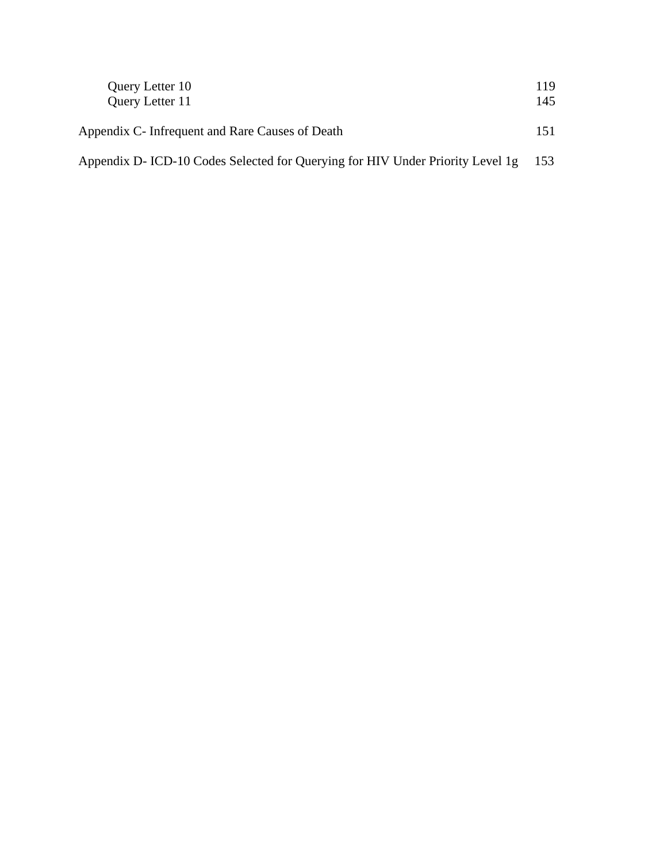| Query Letter 10                                                               | 119  |
|-------------------------------------------------------------------------------|------|
| <b>Query Letter 11</b>                                                        | 145  |
| Appendix C- Infrequent and Rare Causes of Death                               | 151  |
| Appendix D-ICD-10 Codes Selected for Querying for HIV Under Priority Level 1g | -153 |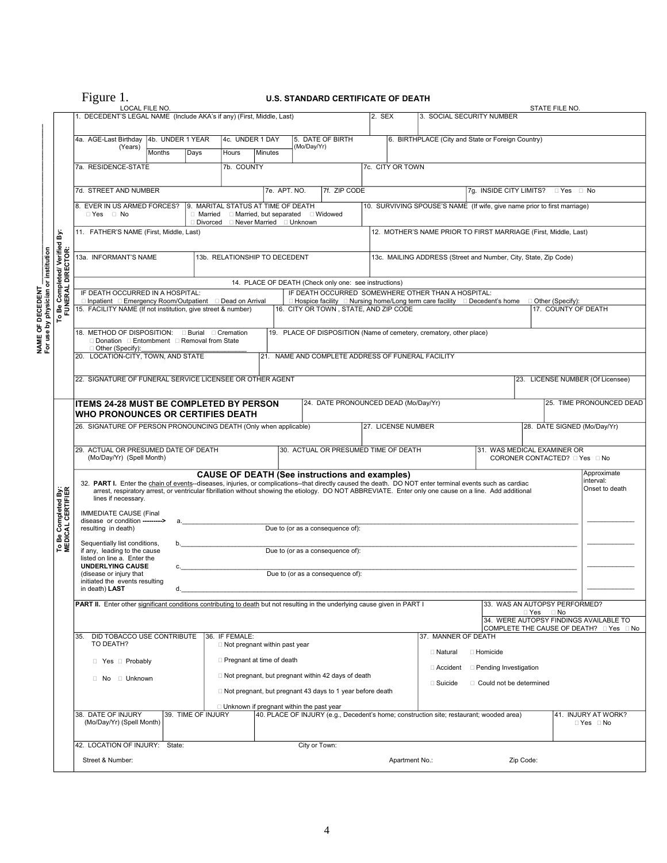## Figure 1. **U.S. STANDARD CERTIFICATE OF DEATH**

|                                                                                                                                            |                                                   | LOCAL FILE NO.                                                                                                                                                                                                                                                                                                                                                                                                                                    |                            |                    |                |                                                                                                   |              |                                                                  |  |                                                                                      |                                                                                            |  |           | STATE FILE NO.                   |                                                   |
|--------------------------------------------------------------------------------------------------------------------------------------------|---------------------------------------------------|---------------------------------------------------------------------------------------------------------------------------------------------------------------------------------------------------------------------------------------------------------------------------------------------------------------------------------------------------------------------------------------------------------------------------------------------------|----------------------------|--------------------|----------------|---------------------------------------------------------------------------------------------------|--------------|------------------------------------------------------------------|--|--------------------------------------------------------------------------------------|--------------------------------------------------------------------------------------------|--|-----------|----------------------------------|---------------------------------------------------|
|                                                                                                                                            |                                                   | 1. DECEDENT'S LEGAL NAME (Include AKA's if any) (First, Middle, Last)                                                                                                                                                                                                                                                                                                                                                                             |                            |                    |                |                                                                                                   |              |                                                                  |  | 2. SEX                                                                               | 3. SOCIAL SECURITY NUMBER                                                                  |  |           |                                  |                                                   |
|                                                                                                                                            |                                                   |                                                                                                                                                                                                                                                                                                                                                                                                                                                   |                            |                    |                |                                                                                                   |              |                                                                  |  |                                                                                      |                                                                                            |  |           |                                  |                                                   |
|                                                                                                                                            |                                                   | 4a. AGE-Last Birthday<br>(Years)                                                                                                                                                                                                                                                                                                                                                                                                                  | 4b. UNDER 1 YEAR<br>Months | Days               | Hours          | 4c. UNDER 1 DAY<br>Minutes                                                                        | (Mo/Day/Yr)  | 5. DATE OF BIRTH                                                 |  |                                                                                      | 6. BIRTHPLACE (City and State or Foreign Country)                                          |  |           |                                  |                                                   |
|                                                                                                                                            |                                                   | 7a. RESIDENCE-STATE                                                                                                                                                                                                                                                                                                                                                                                                                               |                            |                    | 7b. COUNTY     |                                                                                                   |              |                                                                  |  | 7c. CITY OR TOWN                                                                     |                                                                                            |  |           |                                  |                                                   |
|                                                                                                                                            |                                                   |                                                                                                                                                                                                                                                                                                                                                                                                                                                   |                            |                    |                |                                                                                                   |              |                                                                  |  |                                                                                      |                                                                                            |  |           |                                  |                                                   |
|                                                                                                                                            |                                                   | 7d. STREET AND NUMBER                                                                                                                                                                                                                                                                                                                                                                                                                             |                            |                    |                |                                                                                                   | 7e. APT. NO. | 7f. ZIP CODE                                                     |  |                                                                                      |                                                                                            |  |           | 7g. INSIDE CITY LIMITS? PYes PNo |                                                   |
|                                                                                                                                            |                                                   | 8. EVER IN US ARMED FORCES?<br>$\Box$ Yes $\Box$ No                                                                                                                                                                                                                                                                                                                                                                                               |                            |                    |                | 9. MARITAL STATUS AT TIME OF DEATH<br>$\Box$ Married $\Box$ Married, but separated $\Box$ Widowed |              |                                                                  |  |                                                                                      | 10. SURVIVING SPOUSE'S NAME (If wife, give name prior to first marriage)                   |  |           |                                  |                                                   |
|                                                                                                                                            |                                                   |                                                                                                                                                                                                                                                                                                                                                                                                                                                   |                            |                    |                | □ Divorced □ Never Married □ Unknown                                                              |              |                                                                  |  |                                                                                      |                                                                                            |  |           |                                  |                                                   |
|                                                                                                                                            | ä                                                 | 11. FATHER'S NAME (First, Middle, Last)<br>12. MOTHER'S NAME PRIOR TO FIRST MARRIAGE (First, Middle, Last)                                                                                                                                                                                                                                                                                                                                        |                            |                    |                |                                                                                                   |              |                                                                  |  |                                                                                      |                                                                                            |  |           |                                  |                                                   |
|                                                                                                                                            |                                                   | 13a. INFORMANT'S NAME                                                                                                                                                                                                                                                                                                                                                                                                                             |                            |                    |                | 13b. RELATIONSHIP TO DECEDENT                                                                     |              |                                                                  |  |                                                                                      | 13c. MAILING ADDRESS (Street and Number, City, State, Zip Code)                            |  |           |                                  |                                                   |
| physician or institution                                                                                                                   | <b>Be Completed/Verified</b><br>FUNERAL DIRECTOR: |                                                                                                                                                                                                                                                                                                                                                                                                                                                   |                            |                    |                |                                                                                                   |              |                                                                  |  |                                                                                      |                                                                                            |  |           |                                  |                                                   |
|                                                                                                                                            |                                                   | 14. PLACE OF DEATH (Check only one: see instructions)<br>IF DEATH OCCURRED SOMEWHERE OTHER THAN A HOSPITAL:<br>IF DEATH OCCURRED IN A HOSPITAL:                                                                                                                                                                                                                                                                                                   |                            |                    |                |                                                                                                   |              |                                                                  |  |                                                                                      |                                                                                            |  |           |                                  |                                                   |
|                                                                                                                                            |                                                   | □ Inpatient □ Emergency Room/Outpatient □ Dead on Arrival                                                                                                                                                                                                                                                                                                                                                                                         |                            |                    |                |                                                                                                   |              |                                                                  |  |                                                                                      | $\Box$ Hospice facility $\Box$ Nursing home/Long term care facility $\Box$ Decedent's home |  |           | □ Other (Specify):               |                                                   |
|                                                                                                                                            | P                                                 | 15. FACILITY NAME (If not institution, give street & number)                                                                                                                                                                                                                                                                                                                                                                                      |                            |                    |                |                                                                                                   |              | 16. CITY OR TOWN, STATE, AND ZIP CODE                            |  |                                                                                      |                                                                                            |  |           | 17. COUNTY OF DEATH              |                                                   |
|                                                                                                                                            |                                                   | 18. METHOD OF DISPOSITION: <b>Burial Cremation</b>                                                                                                                                                                                                                                                                                                                                                                                                |                            |                    |                |                                                                                                   |              |                                                                  |  |                                                                                      | 19. PLACE OF DISPOSITION (Name of cemetery, crematory, other place)                        |  |           |                                  |                                                   |
| NAME OF DECEDENT<br>For use by physician                                                                                                   |                                                   | □ Donation □ Entombment □ Removal from State<br>Other (Specify):                                                                                                                                                                                                                                                                                                                                                                                  |                            |                    |                |                                                                                                   |              |                                                                  |  |                                                                                      |                                                                                            |  |           |                                  |                                                   |
|                                                                                                                                            |                                                   | 20. LOCATION-CITY, TOWN, AND STATE                                                                                                                                                                                                                                                                                                                                                                                                                |                            |                    |                |                                                                                                   |              | 21. NAME AND COMPLETE ADDRESS OF FUNERAL FACILITY                |  |                                                                                      |                                                                                            |  |           |                                  |                                                   |
|                                                                                                                                            |                                                   | 22. SIGNATURE OF FUNERAL SERVICE LICENSEE OR OTHER AGENT                                                                                                                                                                                                                                                                                                                                                                                          |                            |                    |                |                                                                                                   |              |                                                                  |  |                                                                                      |                                                                                            |  |           |                                  | 23. LICENSE NUMBER (Of Licensee)                  |
|                                                                                                                                            |                                                   |                                                                                                                                                                                                                                                                                                                                                                                                                                                   |                            |                    |                |                                                                                                   |              |                                                                  |  |                                                                                      |                                                                                            |  |           |                                  |                                                   |
|                                                                                                                                            |                                                   | <b>ITEMS 24-28 MUST BE COMPLETED BY PERSON</b>                                                                                                                                                                                                                                                                                                                                                                                                    |                            |                    |                |                                                                                                   |              | 24. DATE PRONOUNCED DEAD (Mo/Day/Yr)                             |  |                                                                                      |                                                                                            |  |           |                                  | 25. TIME PRONOUNCED DEAD                          |
|                                                                                                                                            |                                                   | <b>WHO PRONOUNCES OR CERTIFIES DEATH</b>                                                                                                                                                                                                                                                                                                                                                                                                          |                            |                    |                |                                                                                                   |              |                                                                  |  | 27. LICENSE NUMBER                                                                   |                                                                                            |  |           |                                  |                                                   |
|                                                                                                                                            |                                                   | 26. SIGNATURE OF PERSON PRONOUNCING DEATH (Only when applicable)                                                                                                                                                                                                                                                                                                                                                                                  |                            |                    |                |                                                                                                   |              |                                                                  |  |                                                                                      |                                                                                            |  |           | 28. DATE SIGNED (Mo/Day/Yr)      |                                                   |
|                                                                                                                                            |                                                   | 29. ACTUAL OR PRESUMED DATE OF DEATH                                                                                                                                                                                                                                                                                                                                                                                                              |                            |                    |                |                                                                                                   |              | 30. ACTUAL OR PRESUMED TIME OF DEATH                             |  |                                                                                      |                                                                                            |  |           | 31. WAS MEDICAL EXAMINER OR      |                                                   |
|                                                                                                                                            |                                                   | (Mo/Day/Yr) (Spell Month)                                                                                                                                                                                                                                                                                                                                                                                                                         |                            |                    |                |                                                                                                   |              |                                                                  |  |                                                                                      |                                                                                            |  |           | CORONER CONTACTED? DYes DNo      |                                                   |
|                                                                                                                                            | To Be Completed By:<br>MEDICAL CERTIFIER          | <b>CAUSE OF DEATH (See instructions and examples)</b><br>Approximate<br>interval:<br>32. PART I. Enter the chain of events-diseases, injuries, or complications--that directly caused the death. DO NOT enter terminal events such as cardiac<br>Onset to death<br>arrest, respiratory arrest, or ventricular fibrillation without showing the etiology. DO NOT ABBREVIATE. Enter only one cause on a line. Add additional<br>lines if necessary. |                            |                    |                |                                                                                                   |              |                                                                  |  |                                                                                      |                                                                                            |  |           |                                  |                                                   |
|                                                                                                                                            |                                                   | <b>IMMEDIATE CAUSE (Final</b>                                                                                                                                                                                                                                                                                                                                                                                                                     |                            |                    |                |                                                                                                   |              |                                                                  |  |                                                                                      |                                                                                            |  |           |                                  |                                                   |
|                                                                                                                                            |                                                   | disease or condition ---------><br>resulting in death)                                                                                                                                                                                                                                                                                                                                                                                            |                            |                    |                |                                                                                                   |              | Due to (or as a consequence of):                                 |  |                                                                                      |                                                                                            |  |           |                                  |                                                   |
|                                                                                                                                            |                                                   | Sequentially list conditions,                                                                                                                                                                                                                                                                                                                                                                                                                     |                            |                    |                |                                                                                                   |              |                                                                  |  |                                                                                      |                                                                                            |  |           |                                  |                                                   |
|                                                                                                                                            |                                                   | Due to (or as a consequence of):<br>if any, leading to the cause<br>listed on line a. Enter the                                                                                                                                                                                                                                                                                                                                                   |                            |                    |                |                                                                                                   |              |                                                                  |  |                                                                                      |                                                                                            |  |           |                                  |                                                   |
|                                                                                                                                            |                                                   | <b>UNDERLYING CAUSE</b><br>Due to (or as a consequence of):<br>(disease or injury that                                                                                                                                                                                                                                                                                                                                                            |                            |                    |                |                                                                                                   |              |                                                                  |  |                                                                                      |                                                                                            |  |           |                                  |                                                   |
|                                                                                                                                            |                                                   | initiated the events resulting<br>in death) LAST                                                                                                                                                                                                                                                                                                                                                                                                  | d.                         |                    |                |                                                                                                   |              |                                                                  |  |                                                                                      |                                                                                            |  |           |                                  |                                                   |
|                                                                                                                                            |                                                   | <b>PART II.</b> Enter other significant conditions contributing to death but not resulting in the underlying cause given in PART I                                                                                                                                                                                                                                                                                                                |                            |                    |                |                                                                                                   |              |                                                                  |  |                                                                                      |                                                                                            |  |           | 33. WAS AN AUTOPSY PERFORMED?    |                                                   |
|                                                                                                                                            | ⊟ Yes<br>34. WERE AUTOPSY FINDINGS AVAILABLE TO   |                                                                                                                                                                                                                                                                                                                                                                                                                                                   |                            |                    |                |                                                                                                   |              | ⊟ No                                                             |  |                                                                                      |                                                                                            |  |           |                                  |                                                   |
|                                                                                                                                            |                                                   | DID TOBACCO USE CONTRIBUTE<br>35.                                                                                                                                                                                                                                                                                                                                                                                                                 |                            |                    | 36. IF FEMALE: |                                                                                                   |              |                                                                  |  |                                                                                      | 37. MANNER OF DEATH                                                                        |  |           |                                  | COMPLETE THE CAUSE OF DEATH? $\Box$ Yes $\Box$ No |
|                                                                                                                                            |                                                   | TO DEATH?                                                                                                                                                                                                                                                                                                                                                                                                                                         |                            |                    |                | $\Box$ Not pregnant within past year                                                              |              |                                                                  |  |                                                                                      | □ Natural<br>□ Homicide                                                                    |  |           |                                  |                                                   |
|                                                                                                                                            |                                                   | $\Box$ Pregnant at time of death<br>$\Box$ Yes $\Box$ Probably                                                                                                                                                                                                                                                                                                                                                                                    |                            |                    |                |                                                                                                   |              |                                                                  |  |                                                                                      |                                                                                            |  |           |                                  |                                                   |
|                                                                                                                                            |                                                   | □ No □ Unknown                                                                                                                                                                                                                                                                                                                                                                                                                                    |                            |                    |                |                                                                                                   |              | $\Box$ Not pregnant, but pregnant within 42 days of death        |  | □ Pending Investigation<br>□ Accident<br>□ Suicide<br>$\Box$ Could not be determined |                                                                                            |  |           |                                  |                                                   |
|                                                                                                                                            |                                                   |                                                                                                                                                                                                                                                                                                                                                                                                                                                   |                            |                    |                |                                                                                                   |              | $\Box$ Not pregnant, but pregnant 43 days to 1 year before death |  |                                                                                      |                                                                                            |  |           |                                  |                                                   |
| $\Box$ Unknown if pregnant within the past year<br>40. PLACE OF INJURY (e.g., Decedent's home; construction site; restaurant; wooded area) |                                                   |                                                                                                                                                                                                                                                                                                                                                                                                                                                   |                            |                    |                |                                                                                                   |              |                                                                  |  |                                                                                      |                                                                                            |  |           |                                  |                                                   |
|                                                                                                                                            |                                                   | 38. DATE OF INJURY<br>(Mo/Day/Yr) (Spell Month)                                                                                                                                                                                                                                                                                                                                                                                                   |                            | 39. TIME OF INJURY |                |                                                                                                   |              |                                                                  |  |                                                                                      |                                                                                            |  |           |                                  | 41. INJURY AT WORK?<br>$\Box$ Yes $\Box$ No       |
|                                                                                                                                            |                                                   |                                                                                                                                                                                                                                                                                                                                                                                                                                                   |                            |                    |                |                                                                                                   |              |                                                                  |  |                                                                                      |                                                                                            |  |           |                                  |                                                   |
|                                                                                                                                            |                                                   | 42. LOCATION OF INJURY: State:                                                                                                                                                                                                                                                                                                                                                                                                                    |                            |                    |                |                                                                                                   |              | City or Town:                                                    |  |                                                                                      |                                                                                            |  |           |                                  |                                                   |
|                                                                                                                                            |                                                   | Street & Number:                                                                                                                                                                                                                                                                                                                                                                                                                                  |                            |                    |                |                                                                                                   |              |                                                                  |  | Apartment No.:                                                                       |                                                                                            |  | Zip Code: |                                  |                                                   |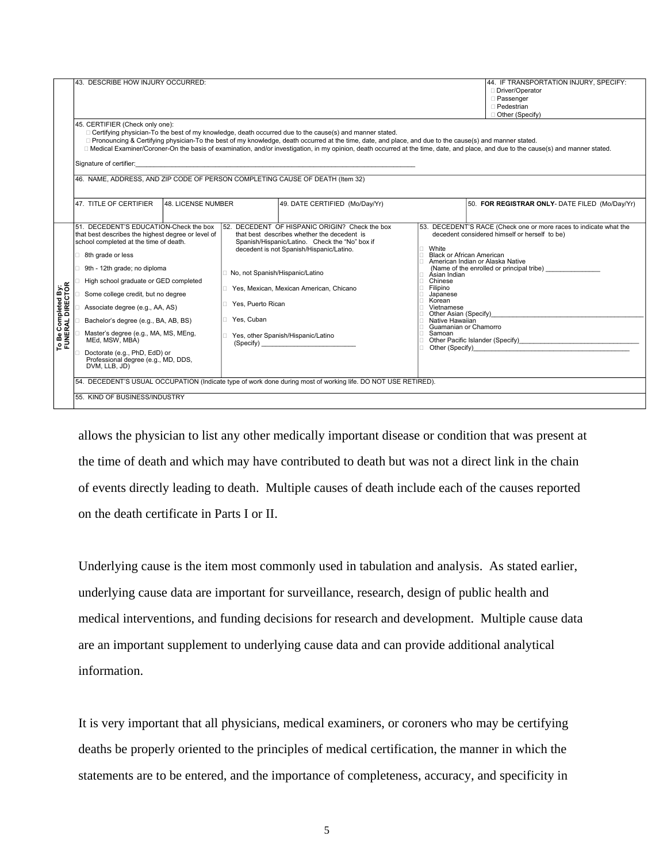|                                         | 43. DESCRIBE HOW INJURY OCCURRED:<br>45. CERTIFIER (Check only one):<br>□ Certifying physician-To the best of my knowledge, death occurred due to the cause(s) and manner stated.<br>□ Pronouncing & Certifying physician-To the best of my knowledge, death occurred at the time, date, and place, and due to the cause(s) and manner stated.<br>46. NAME, ADDRESS, AND ZIP CODE OF PERSON COMPLETING CAUSE OF DEATH (Item 32)                                                                                                                                                                                                                                |                                                                    |                                                                                                                                                                                                                                                                                                                                                                                                                                                                                                               |                                                                                                                                                                 | 44. IF TRANSPORTATION INJURY, SPECIFY:<br>Driver/Operator<br>□ Passenger<br>□ Pedestrian<br>$\Box$ Other (Specify)<br>□ Medical Examiner/Coroner-On the basis of examination, and/or investigation, in my opinion, death occurred at the time, date, and place, and due to the cause(s) and manner stated. |
|-----------------------------------------|----------------------------------------------------------------------------------------------------------------------------------------------------------------------------------------------------------------------------------------------------------------------------------------------------------------------------------------------------------------------------------------------------------------------------------------------------------------------------------------------------------------------------------------------------------------------------------------------------------------------------------------------------------------|--------------------------------------------------------------------|---------------------------------------------------------------------------------------------------------------------------------------------------------------------------------------------------------------------------------------------------------------------------------------------------------------------------------------------------------------------------------------------------------------------------------------------------------------------------------------------------------------|-----------------------------------------------------------------------------------------------------------------------------------------------------------------|------------------------------------------------------------------------------------------------------------------------------------------------------------------------------------------------------------------------------------------------------------------------------------------------------------|
|                                         | 47. TITLE OF CERTIFIER<br>48. LICENSE NUMBER                                                                                                                                                                                                                                                                                                                                                                                                                                                                                                                                                                                                                   |                                                                    | 49. DATE CERTIFIED (Mo/Day/Yr)                                                                                                                                                                                                                                                                                                                                                                                                                                                                                |                                                                                                                                                                 | 50. FOR REGISTRAR ONLY- DATE FILED (Mo/Day/Yr)                                                                                                                                                                                                                                                             |
| To Be Completed By:<br>FUNERAL DIRECTOR | 51. DECEDENT'S EDUCATION-Check the box<br>that best describes the highest degree or level of<br>school completed at the time of death.<br>□ 8th grade or less<br>□ 9th - 12th grade; no diploma<br>High school graduate or GED completed<br>Some college credit, but no degree<br>Associate degree (e.g., AA, AS)<br>Bachelor's degree (e.g., BA, AB, BS)<br>Master's degree (e.g., MA, MS, MEng,<br>MEd, MSW, MBA)<br>Doctorate (e.g., PhD, EdD) or<br>Professional degree (e.g., MD, DDS,<br>DVM, LLB, JD)<br>54. DECEDENT'S USUAL OCCUPATION (Indicate type of work done during most of working life. DO NOT USE RETIRED).<br>55. KIND OF BUSINESS/INDUSTRY | No, not Spanish/Hispanic/Latino<br>Yes, Puerto Rican<br>Yes, Cuban | 52. DECEDENT OF HISPANIC ORIGIN? Check the box<br>that best describes whether the decedent is<br>Spanish/Hispanic/Latino. Check the "No" box if<br>decedent is not Spanish/Hispanic/Latino.<br>Yes, Mexican, Mexican American, Chicano<br>Yes, other Spanish/Hispanic/Latino<br>(Specify) and the state of the state of the state of the state of the state of the state of the state of the state of the state of the state of the state of the state of the state of the state of the state of the state of | $\Box$ White<br>□ Àsian Indian<br>Chinese<br>$\Box$ Filipino<br>Japanese<br>Korean<br>⊤ Vietnamese<br>$\Box$ Native Hawaiian<br>Guamanian or Chamorro<br>Samoan | 53. DECEDENT'S RACE (Check one or more races to indicate what the<br>decedent considered himself or herself to be)<br><b>Black or African American</b><br>□ American Indian or Alaska Native<br>(Name of the enrolled or principal tribe)<br>Other Asian (Specify) ___<br>$\Box$ Other (Specify)           |

allows the physician to list any other medically important disease or condition that was present at the time of death and which may have contributed to death but was not a direct link in the chain of events directly leading to death. Multiple causes of death include each of the causes reported on the death certificate in Parts I or II.

Underlying cause is the item most commonly used in tabulation and analysis. As stated earlier, underlying cause data are important for surveillance, research, design of public health and medical interventions, and funding decisions for research and development. Multiple cause data are an important supplement to underlying cause data and can provide additional analytical information.

It is very important that all physicians, medical examiners, or coroners who may be certifying deaths be properly oriented to the principles of medical certification, the manner in which the statements are to be entered, and the importance of completeness, accuracy, and specificity in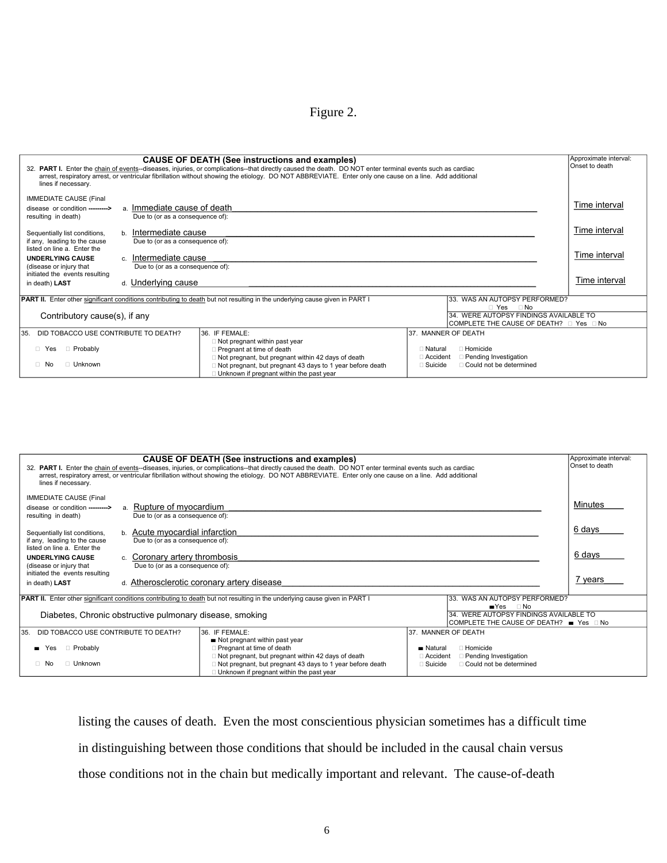Figure 2.

| <b>CAUSE OF DEATH (See instructions and examples)</b><br>32. PART I. Enter the chain of events--diseases, injuries, or complications--that directly caused the death. DO NOT enter terminal events such as cardiac<br>arrest, respiratory arrest, or ventricular fibrillation without showing the etiology. DO NOT ABBREVIATE. Enter only one cause on a line. Add additional<br>lines if necessary. |                                                                                                                |                                                                                                                           |                                                                                        |               |  |  |  |
|------------------------------------------------------------------------------------------------------------------------------------------------------------------------------------------------------------------------------------------------------------------------------------------------------------------------------------------------------------------------------------------------------|----------------------------------------------------------------------------------------------------------------|---------------------------------------------------------------------------------------------------------------------------|----------------------------------------------------------------------------------------|---------------|--|--|--|
| <b>IMMEDIATE CAUSE (Final</b><br>Time interval<br>a. Immediate cause of death<br>disease or condition ---------><br>resulting in death)<br>Due to (or as a consequence of):                                                                                                                                                                                                                          |                                                                                                                |                                                                                                                           |                                                                                        |               |  |  |  |
| Sequentially list conditions,                                                                                                                                                                                                                                                                                                                                                                        | b. Intermediate cause                                                                                          |                                                                                                                           |                                                                                        | Time interval |  |  |  |
| if any, leading to the cause<br>listed on line a. Enter the<br><b>UNDERLYING CAUSE</b><br>(disease or injury that                                                                                                                                                                                                                                                                                    | Due to (or as a consequence of):<br>Time interval<br>c. Intermediate cause<br>Due to (or as a consequence of): |                                                                                                                           |                                                                                        |               |  |  |  |
| initiated the events resulting<br>Time interval<br>d. Underlying cause<br>in death) LAST                                                                                                                                                                                                                                                                                                             |                                                                                                                |                                                                                                                           |                                                                                        |               |  |  |  |
| <b>PART II.</b> Enter other significant conditions contributing to death but not resulting in the underlying cause given in PART I<br>33. WAS AN AUTOPSY PERFORMED?<br>□ Yes □ No                                                                                                                                                                                                                    |                                                                                                                |                                                                                                                           |                                                                                        |               |  |  |  |
| 34. WERE AUTOPSY FINDINGS AVAILABLE TO<br>Contributory cause(s), if any                                                                                                                                                                                                                                                                                                                              |                                                                                                                |                                                                                                                           |                                                                                        |               |  |  |  |
| DID TOBACCO USE CONTRIBUTE TO DEATH?<br>35.                                                                                                                                                                                                                                                                                                                                                          |                                                                                                                | 36. IF FEMALE:                                                                                                            | 37. MANNER OF DEATH                                                                    |               |  |  |  |
| <b>Probably</b><br>□ Yes                                                                                                                                                                                                                                                                                                                                                                             |                                                                                                                | □ Not pregnant within past year<br>Pregnant at time of death<br>$\Box$ Not pregnant, but pregnant within 42 days of death | $\sqcap$ Homicide<br>$\Box$ Natural<br>$\Box$ Accident<br>$\Box$ Pending Investigation |               |  |  |  |
| □ Unknown<br>$\Box$ No                                                                                                                                                                                                                                                                                                                                                                               |                                                                                                                | □ Not pregnant, but pregnant 43 days to 1 year before death<br>Unknown if pregnant within the past year                   | $\Box$ Suicide<br>$\Box$ Could not be determined                                       |               |  |  |  |

| CAUSE OF DEATH (See instructions and examples)<br>32. PART I. Enter the chain of events--diseases, injuries, or complications--that directly caused the death. DO NOT enter terminal events such as cardiac<br>arrest, respiratory arrest, or ventricular fibrillation without showing the etiology. DO NOT ABBREVIATE. Enter only one cause on a line. Add additional<br>lines if necessary. |                                                                                                                                                                                                                                                                                                                                                                                                                       |        |  |  |  |  |  |
|-----------------------------------------------------------------------------------------------------------------------------------------------------------------------------------------------------------------------------------------------------------------------------------------------------------------------------------------------------------------------------------------------|-----------------------------------------------------------------------------------------------------------------------------------------------------------------------------------------------------------------------------------------------------------------------------------------------------------------------------------------------------------------------------------------------------------------------|--------|--|--|--|--|--|
| <b>IMMEDIATE CAUSE (Final</b><br>Minutes<br>a. Rupture of myocardium<br>disease or condition ---------><br>Due to (or as a consequence of):<br>resulting in death)                                                                                                                                                                                                                            |                                                                                                                                                                                                                                                                                                                                                                                                                       |        |  |  |  |  |  |
| Sequentially list conditions,<br>if any, leading to the cause<br>listed on line a. Enter the                                                                                                                                                                                                                                                                                                  | 6 days<br>b. Acute myocardial infarction<br>Due to (or as a consequence of):                                                                                                                                                                                                                                                                                                                                          |        |  |  |  |  |  |
| <b>UNDERLYING CAUSE</b><br>(disease or injury that<br>initiated the events resulting                                                                                                                                                                                                                                                                                                          | c. Coronary artery thrombosis<br>Due to (or as a consequence of):                                                                                                                                                                                                                                                                                                                                                     | 6 days |  |  |  |  |  |
| 7 years<br>d. Atherosclerotic coronary artery disease<br>in death) LAST                                                                                                                                                                                                                                                                                                                       |                                                                                                                                                                                                                                                                                                                                                                                                                       |        |  |  |  |  |  |
| PART II. Enter other significant conditions contributing to death but not resulting in the underlying cause given in PART I<br>33. WAS AN AUTOPSY PERFORMED?<br>$Y$ es<br>$\Box$ No<br>Diabetes, Chronic obstructive pulmonary disease, smoking<br>34. WERE AUTOPSY FINDINGS AVAILABLE TO<br> COMPLETE THE CAUSE OF DEATH? ■ Yes □ No                                                         |                                                                                                                                                                                                                                                                                                                                                                                                                       |        |  |  |  |  |  |
| DID TOBACCO USE CONTRIBUTE TO DEATH?<br>135.<br><b>Probably</b><br>Yes<br>□ Unknown<br>$\Box$ No                                                                                                                                                                                                                                                                                              | 36. IF FEMALE:<br>37. MANNER OF DEATH<br>Not pregnant within past year<br>Pregnant at time of death<br>□ Homicide<br>$\blacksquare$ Natural<br>$\Box$ Not pregnant, but pregnant within 42 days of death<br>□ Pending Investigation<br>$\Box$ Accident<br>□ Not pregnant, but pregnant 43 days to 1 year before death<br>$\Box$ Could not be determined<br>$\Box$ Suicide<br>Unknown if pregnant within the past year |        |  |  |  |  |  |

listing the causes of death. Even the most conscientious physician sometimes has a difficult time in distinguishing between those conditions that should be included in the causal chain versus those conditions not in the chain but medically important and relevant. The cause-of-death